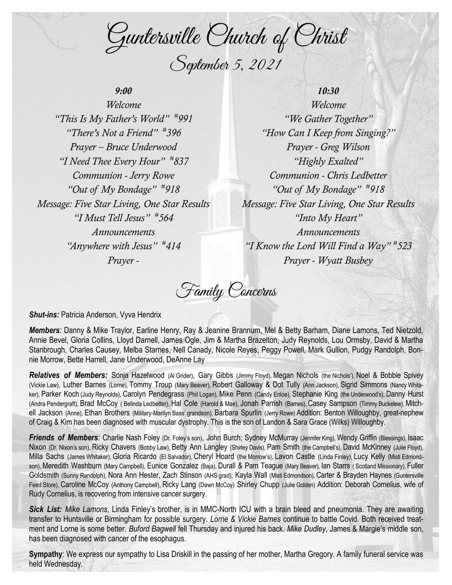Guntersville Church of Christ September 5, 2021

## *9:00*

*Welcome "This Is My Father's World" # 991 "There's Not a Friend" # 396 Prayer – Bruce Underwood "I Need Thee Every Hour" # 837 Communion - Jerry Rowe "Out of My Bondage" # 918 Message: Five Star Living, One Star Results "I Must Tell Jesus" # 564 Announcements "Anywhere with Jesus" # 414 Prayer -*

*10:30 Welcome "We Gather Together" "How Can I Keep from Singing?" Prayer - Greg Wilson "Highly Exalted" Communion - Chris Ledbetter "Out of My Bondage" # 918 Message: Five Star Living, One Star Results "Into My Heart" Announcements "I Know the Lord Will Find a Way" # 523 Prayer - Wyatt Busbey*

Family Concerns

*Shut-ins: Patricia Anderson, Vyva Hendrix* 

*Members:* Danny & Mike Traylor, Earline Henry, Ray & Jeanine Brannum, Mel & Betty Barham, Diane Lamons, Ted Nietzold, Annie Bevel, Gloria Collins, Lloyd Darnell, James Ogle, Jim & Martha Brazelton, Judy Reynolds, Lou Ormsby, David & Martha Stanbrough, Charles Causey, Melba Starnes, Nell Canady, Nicole Reyes, Peggy Powell, Mark Gullion, Pudgy Randolph, Bonnie Morrow, Bette Harrell, Jane Underwood, DeAnne Lay

*Relatives of Members:* Sonja Hazelwood (Al Grider), Gary Gibbs (Jimmy Floyd), Megan Nichols (the Nichols'), Noel & Bobbie Spivey (Vickie Law), Luther Barnes (Lorne), Tommy Troup (Mary Beaver), Robert Galloway & Dot Tully (Ann Jackson), Sigrid Simmons (Nancy Whitaker), Parker Koch (Judy Reynolds), Carolyn Pendegrass (Phil Logan), Mike Penn (Candy Enloe), Stephanie King (the Underwood's), Danny Hurst (Andra Pendergraft), Brad McCoy ( Belinda Ledbetter), Hal Cole (Harold & Mae), Jonah Parrish (Barnes), Casey Sampson (Timmy Buckelew), Mitchell Jackson (Anne), Ethan Brothers (Military-Marilyn Bass' grandson), Barbara Spurlin (Jerry Rowe) Addition: Benton Willoughby, great-nephew of Craig & Kim has been diagnosed with muscular dystrophy. This is the son of Landon & Sara Grace (Wilks) Willoughby.

**Friends of Members**: Charlie Nash Foley (Dr. Foley's son), John Burch; Sydney McMurray (Jennifer King), Wendy Griffin (Blessings), Isaac Nixon (Dr. Nixon's son), Ricky Chavers (Bobby Law), Betty Ann Langley (Shirley Davis), Pam Smith (the Campbell's), David McKinney (Julie Floyd), Milla Sachs (James Whitaker), Gloria Ricardo (El Salvador), Cheryl Hoard (the Morrow's), Lavon Castle (Linda Finley), Lucy Kelly (Misti Edmondson), Meredith Washburn (Mary Campbell), Eunice Gonzalez (Baja), Durall & Pam Teaque (Mary Beaver), Ian Starrs (Scotland Missionary), Fuller Goldsmith (Sunny Randolph), Nora Ann Hester, Zach Stinson (AHS grad), Kayla Wall (Misti Edmondson), Carter & Brayden Haynes (Guntersville Feed Store), Caroline McCoy (Anthony Campbell), Ricky Lang (Dawn McCoy) Shirley Chupp (Julie Golden) Addition: Deborah Cornelius, wife of Rudy Cornelius, is recovering from intensive cancer surgery.

*Sick List: Mike Lamons*, Linda Finley's brother, is in MMC-North ICU with a brain bleed and pneumonia. They are awaiting transfer to Huntsville or Birmingham for possible surgery. *Lorne & Vickie Barnes* continue to battle Covid. Both received treatment and Lorne is some better. *Buford Bagwell* fell Thursday and injured his back. *Mike Dudley*, James & Margie's middle son, has been diagnosed with cancer of the esophagus.

**Sympathy**: We express our sympathy to Lisa Driskill in the passing of her mother, Martha Gregory. A family funeral service was held Wednesday.